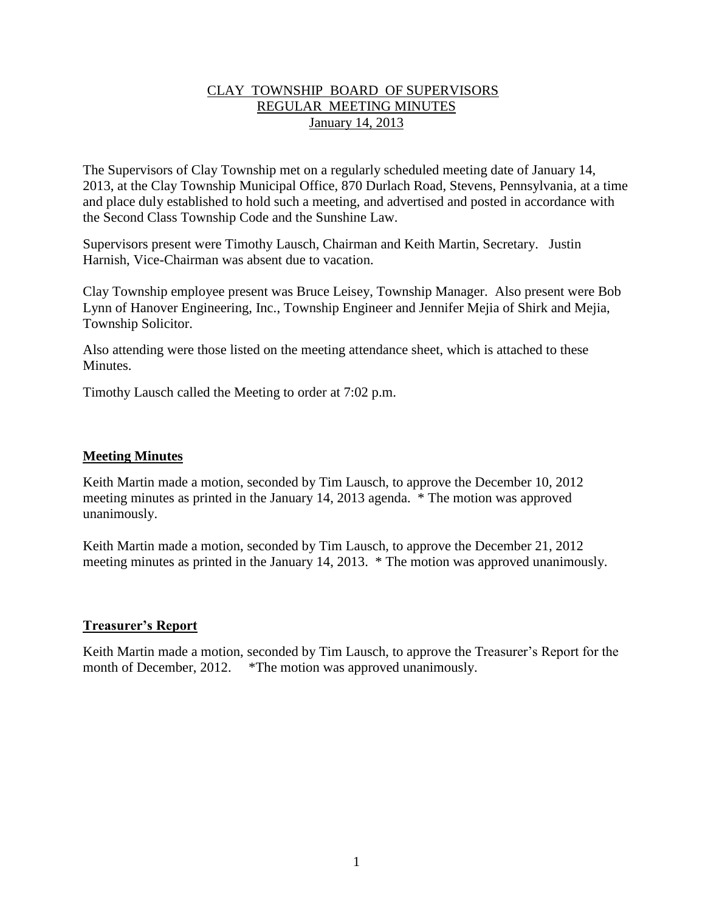## CLAY TOWNSHIP BOARD OF SUPERVISORS REGULAR MEETING MINUTES January 14, 2013

The Supervisors of Clay Township met on a regularly scheduled meeting date of January 14, 2013, at the Clay Township Municipal Office, 870 Durlach Road, Stevens, Pennsylvania, at a time and place duly established to hold such a meeting, and advertised and posted in accordance with the Second Class Township Code and the Sunshine Law.

Supervisors present were Timothy Lausch, Chairman and Keith Martin, Secretary. Justin Harnish, Vice-Chairman was absent due to vacation.

Clay Township employee present was Bruce Leisey, Township Manager. Also present were Bob Lynn of Hanover Engineering, Inc., Township Engineer and Jennifer Mejia of Shirk and Mejia, Township Solicitor.

Also attending were those listed on the meeting attendance sheet, which is attached to these **Minutes** 

Timothy Lausch called the Meeting to order at 7:02 p.m.

#### **Meeting Minutes**

Keith Martin made a motion, seconded by Tim Lausch, to approve the December 10, 2012 meeting minutes as printed in the January 14, 2013 agenda. \* The motion was approved unanimously.

Keith Martin made a motion, seconded by Tim Lausch, to approve the December 21, 2012 meeting minutes as printed in the January 14, 2013. \* The motion was approved unanimously.

#### **Treasurer's Report**

Keith Martin made a motion, seconded by Tim Lausch, to approve the Treasurer's Report for the month of December, 2012. \* The motion was approved unanimously.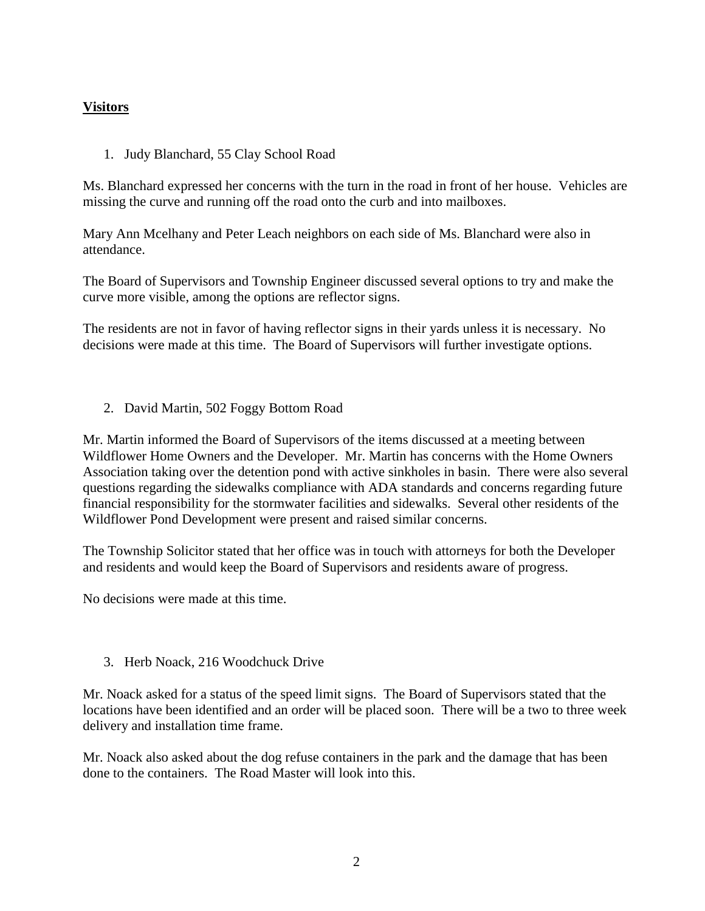# **Visitors**

1. Judy Blanchard, 55 Clay School Road

Ms. Blanchard expressed her concerns with the turn in the road in front of her house. Vehicles are missing the curve and running off the road onto the curb and into mailboxes.

Mary Ann Mcelhany and Peter Leach neighbors on each side of Ms. Blanchard were also in attendance.

The Board of Supervisors and Township Engineer discussed several options to try and make the curve more visible, among the options are reflector signs.

The residents are not in favor of having reflector signs in their yards unless it is necessary. No decisions were made at this time. The Board of Supervisors will further investigate options.

2. David Martin, 502 Foggy Bottom Road

Mr. Martin informed the Board of Supervisors of the items discussed at a meeting between Wildflower Home Owners and the Developer. Mr. Martin has concerns with the Home Owners Association taking over the detention pond with active sinkholes in basin. There were also several questions regarding the sidewalks compliance with ADA standards and concerns regarding future financial responsibility for the stormwater facilities and sidewalks. Several other residents of the Wildflower Pond Development were present and raised similar concerns.

The Township Solicitor stated that her office was in touch with attorneys for both the Developer and residents and would keep the Board of Supervisors and residents aware of progress.

No decisions were made at this time.

3. Herb Noack, 216 Woodchuck Drive

Mr. Noack asked for a status of the speed limit signs. The Board of Supervisors stated that the locations have been identified and an order will be placed soon. There will be a two to three week delivery and installation time frame.

Mr. Noack also asked about the dog refuse containers in the park and the damage that has been done to the containers. The Road Master will look into this.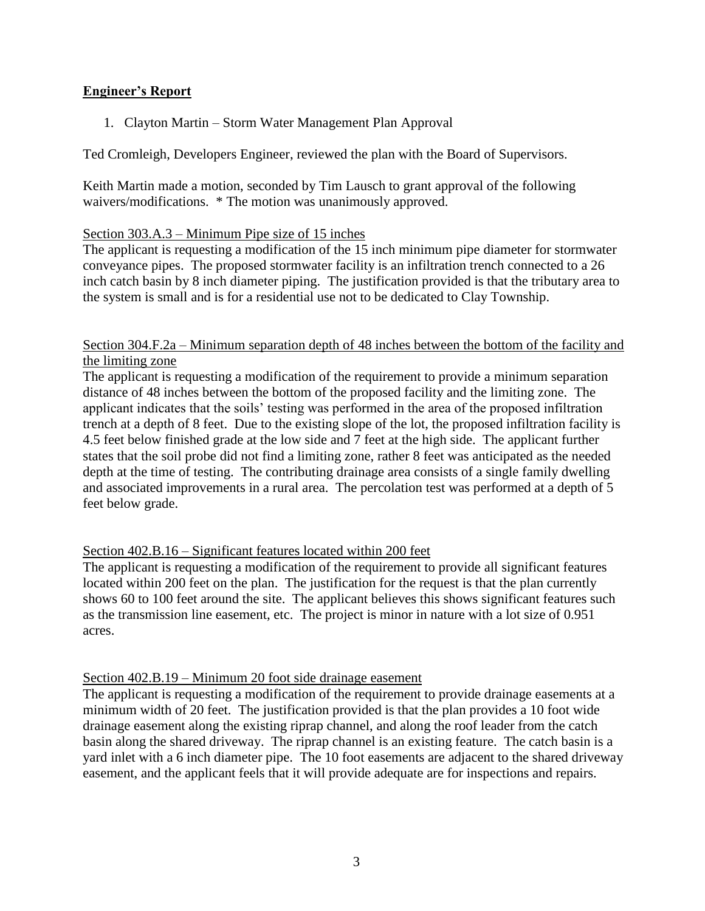## **Engineer's Report**

1. Clayton Martin – Storm Water Management Plan Approval

Ted Cromleigh, Developers Engineer, reviewed the plan with the Board of Supervisors.

Keith Martin made a motion, seconded by Tim Lausch to grant approval of the following waivers/modifications. \* The motion was unanimously approved.

### Section 303.A.3 – Minimum Pipe size of 15 inches

The applicant is requesting a modification of the 15 inch minimum pipe diameter for stormwater conveyance pipes. The proposed stormwater facility is an infiltration trench connected to a 26 inch catch basin by 8 inch diameter piping. The justification provided is that the tributary area to the system is small and is for a residential use not to be dedicated to Clay Township.

### Section 304.F.2a – Minimum separation depth of 48 inches between the bottom of the facility and the limiting zone

The applicant is requesting a modification of the requirement to provide a minimum separation distance of 48 inches between the bottom of the proposed facility and the limiting zone. The applicant indicates that the soils' testing was performed in the area of the proposed infiltration trench at a depth of 8 feet. Due to the existing slope of the lot, the proposed infiltration facility is 4.5 feet below finished grade at the low side and 7 feet at the high side. The applicant further states that the soil probe did not find a limiting zone, rather 8 feet was anticipated as the needed depth at the time of testing. The contributing drainage area consists of a single family dwelling and associated improvements in a rural area. The percolation test was performed at a depth of 5 feet below grade.

#### Section 402.B.16 – Significant features located within 200 feet

The applicant is requesting a modification of the requirement to provide all significant features located within 200 feet on the plan. The justification for the request is that the plan currently shows 60 to 100 feet around the site. The applicant believes this shows significant features such as the transmission line easement, etc. The project is minor in nature with a lot size of 0.951 acres.

#### Section 402.B.19 – Minimum 20 foot side drainage easement

The applicant is requesting a modification of the requirement to provide drainage easements at a minimum width of 20 feet. The justification provided is that the plan provides a 10 foot wide drainage easement along the existing riprap channel, and along the roof leader from the catch basin along the shared driveway. The riprap channel is an existing feature. The catch basin is a yard inlet with a 6 inch diameter pipe. The 10 foot easements are adjacent to the shared driveway easement, and the applicant feels that it will provide adequate are for inspections and repairs.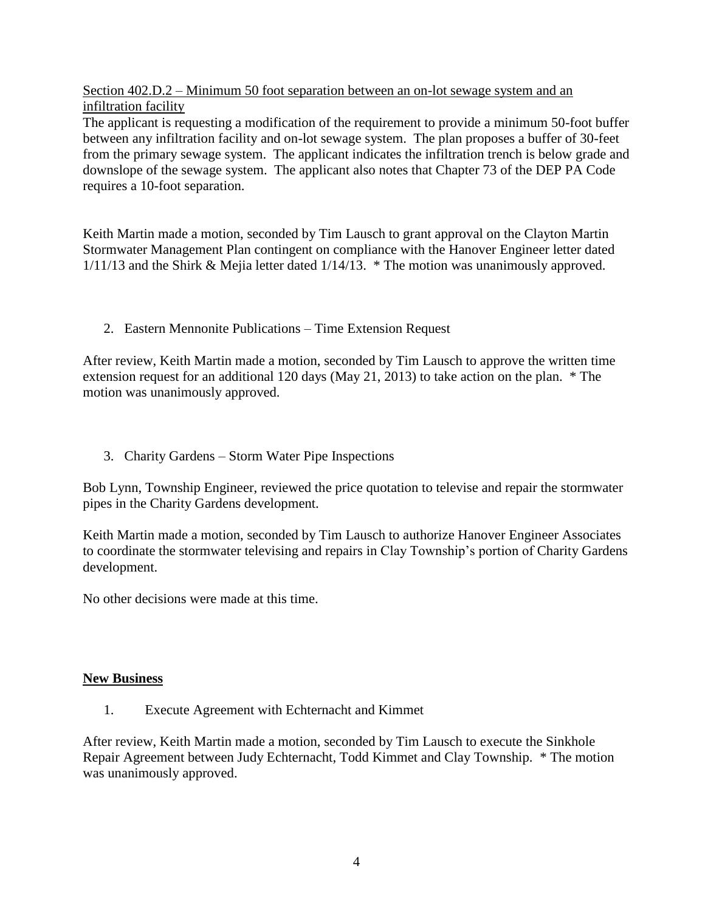Section 402.D.2 – Minimum 50 foot separation between an on-lot sewage system and an infiltration facility

The applicant is requesting a modification of the requirement to provide a minimum 50-foot buffer between any infiltration facility and on-lot sewage system. The plan proposes a buffer of 30-feet from the primary sewage system. The applicant indicates the infiltration trench is below grade and downslope of the sewage system. The applicant also notes that Chapter 73 of the DEP PA Code requires a 10-foot separation.

Keith Martin made a motion, seconded by Tim Lausch to grant approval on the Clayton Martin Stormwater Management Plan contingent on compliance with the Hanover Engineer letter dated 1/11/13 and the Shirk & Mejia letter dated 1/14/13. \* The motion was unanimously approved.

2. Eastern Mennonite Publications – Time Extension Request

After review, Keith Martin made a motion, seconded by Tim Lausch to approve the written time extension request for an additional 120 days (May 21, 2013) to take action on the plan. \* The motion was unanimously approved.

3. Charity Gardens – Storm Water Pipe Inspections

Bob Lynn, Township Engineer, reviewed the price quotation to televise and repair the stormwater pipes in the Charity Gardens development.

Keith Martin made a motion, seconded by Tim Lausch to authorize Hanover Engineer Associates to coordinate the stormwater televising and repairs in Clay Township's portion of Charity Gardens development.

No other decisions were made at this time.

## **New Business**

1. Execute Agreement with Echternacht and Kimmet

After review, Keith Martin made a motion, seconded by Tim Lausch to execute the Sinkhole Repair Agreement between Judy Echternacht, Todd Kimmet and Clay Township. \* The motion was unanimously approved.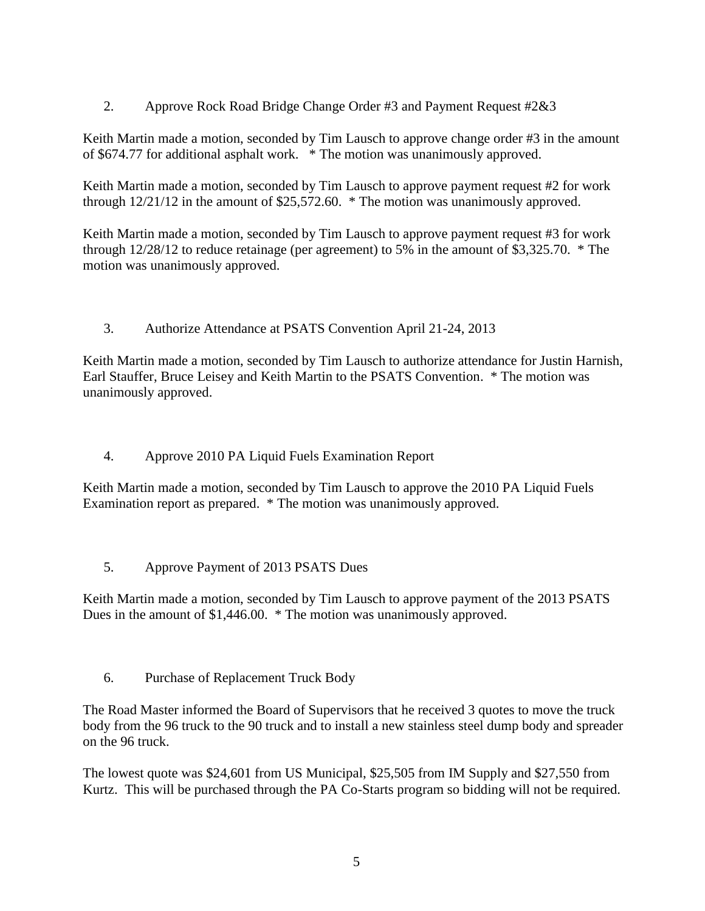2. Approve Rock Road Bridge Change Order #3 and Payment Request #2&3

Keith Martin made a motion, seconded by Tim Lausch to approve change order #3 in the amount of \$674.77 for additional asphalt work. \* The motion was unanimously approved.

Keith Martin made a motion, seconded by Tim Lausch to approve payment request #2 for work through 12/21/12 in the amount of \$25,572.60. \* The motion was unanimously approved.

Keith Martin made a motion, seconded by Tim Lausch to approve payment request #3 for work through 12/28/12 to reduce retainage (per agreement) to 5% in the amount of \$3,325.70. \* The motion was unanimously approved.

3. Authorize Attendance at PSATS Convention April 21-24, 2013

Keith Martin made a motion, seconded by Tim Lausch to authorize attendance for Justin Harnish, Earl Stauffer, Bruce Leisey and Keith Martin to the PSATS Convention. \* The motion was unanimously approved.

4. Approve 2010 PA Liquid Fuels Examination Report

Keith Martin made a motion, seconded by Tim Lausch to approve the 2010 PA Liquid Fuels Examination report as prepared. \* The motion was unanimously approved.

5. Approve Payment of 2013 PSATS Dues

Keith Martin made a motion, seconded by Tim Lausch to approve payment of the 2013 PSATS Dues in the amount of \$1,446.00. \* The motion was unanimously approved.

6. Purchase of Replacement Truck Body

The Road Master informed the Board of Supervisors that he received 3 quotes to move the truck body from the 96 truck to the 90 truck and to install a new stainless steel dump body and spreader on the 96 truck.

The lowest quote was \$24,601 from US Municipal, \$25,505 from IM Supply and \$27,550 from Kurtz. This will be purchased through the PA Co-Starts program so bidding will not be required.